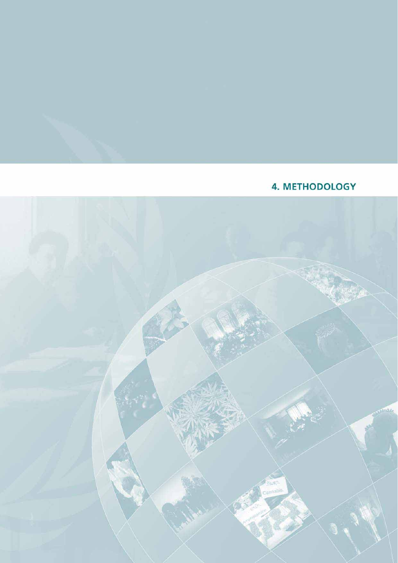# **4. METHODOLOGY**

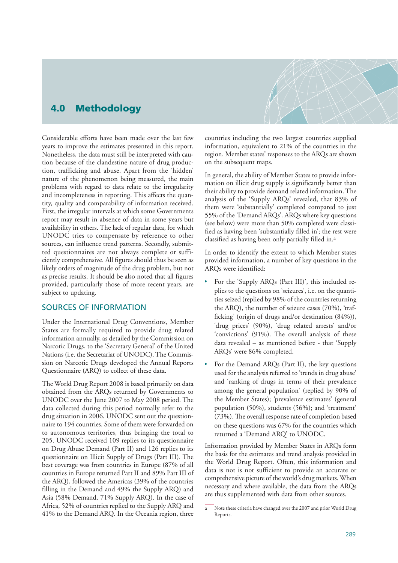# **4.0 Methodology**

Considerable efforts have been made over the last few years to improve the estimates presented in this report. Nonetheless, the data must still be interpreted with caution because of the clandestine nature of drug production, trafficking and abuse. Apart from the 'hidden' nature of the phenomenon being measured, the main problems with regard to data relate to the irregularity and incompleteness in reporting. This affects the quantity, quality and comparability of information received. First, the irregular intervals at which some Governments report may result in absence of data in some years but availability in others. The lack of regular data, for which UNODC tries to compensate by reference to other sources, can influence trend patterns. Secondly, submitted questionnaires are not always complete or sufficiently comprehensive. All figures should thus be seen as likely orders of magnitude of the drug problem, but not as precise results. It should be also noted that all figures provided, particularly those of more recent years, are subject to updating.

## SOURCES OF INFORMATION

Under the International Drug Conventions, Member States are formally required to provide drug related information annually, as detailed by the Commission on Narcotic Drugs, to the 'Secretary General' of the United Nations (i.e. the Secretariat of UNODC). The Commission on Narcotic Drugs developed the Annual Reports Questionnaire (ARQ) to collect of these data.

The World Drug Report 2008 is based primarily on data obtained from the ARQs returned by Governments to UNODC over the June 2007 to May 2008 period. The data collected during this period normally refer to the drug situation in 2006. UNODC sent out the questionnaire to 194 countries. Some of them were forwarded on to autonomous territories, thus bringing the total to 205. UNODC received 109 replies to its questionnaire on Drug Abuse Demand (Part II) and 126 replies to its questionnaire on Illicit Supply of Drugs (Part III). The best coverage was from countries in Europe (87% of all countries in Europe returned Part II and 89% Part III of the ARQ), followed the Americas (39% of the countries filling in the Demand and 49% the Supply ARQ) and Asia (58% Demand, 71% Supply ARQ). In the case of Africa, 52% of countries replied to the Supply ARQ and 41% to the Demand ARQ. In the Oceania region, three countries including the two largest countries supplied information, equivalent to 21% of the countries in the region. Member states' responses to the ARQs are shown on the subsequent maps.

In general, the ability of Member States to provide information on illicit drug supply is significantly better than their ability to provide demand related information. The analysis of the 'Supply ARQs' revealed, that 83% of them were 'substantially' completed compared to just 55% of the 'Demand ARQs'. ARQs where key questions (see below) were more than 50% completed were classified as having been 'substantially filled in'; the rest were classified as having been only partially filled in.<sup>a</sup>

In order to identify the extent to which Member states provided information, a number of key questions in the ARQs were identified:

- For the 'Supply ARQs (Part III)', this included replies to the questions on 'seizures', i.e. on the quantities seized (replied by 98% of the countries returning the ARQ), the number of seizure cases (70%), 'trafficking' (origin of drugs and/or destination  $(84%)$ ), 'drug prices' (90%), 'drug related arrests' and/or 'convictions' (91%). The overall analysis of these data revealed – as mentioned before - that 'Supply ARQs' were 86% completed.
- For the Demand ARQs (Part II), the key questions used for the analysis referred to 'trends in drug abuse' and 'ranking of drugs in terms of their prevalence among the general population' (replied by 90% of the Member States); 'prevalence estimates' (general population (50%), students (56%); and 'treatment'  $(73%)$ . The overall response rate of completion based on these questions was 67% for the countries which returned a 'Demand ARQ' to UNODC.

Information provided by Member States in ARQs form the basis for the estimates and trend analysis provided in the World Drug Report. Often, this information and data is not is not sufficient to provide an accurate or comprehensive picture of the world's drug markets. When necessary and where available, the data from the ARQs are thus supplemented with data from other sources.

a Note these criteria have changed over the 2007 and prior World Drug Reports.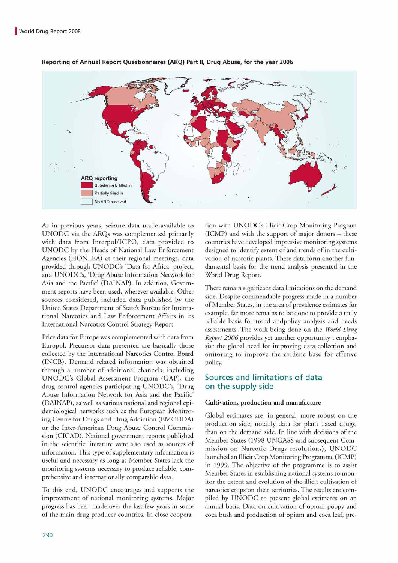

#### Reporting of Annual Report Questionnaires (ARQ) Part II, Drug Abuse, for the year 2006

As in previous vears, seizure data made available to UNODC via the ARQs was complemented primarily with data from Interpol/ICPO, data provided to UNODC by the Heads of National Law Enforcement Agencies (HONLEA) at their regional meetings, data provided through UNODC's 'Data for Africa' project, and UNODC's, 'Drug Abuse Information Network for Asia and the Pacific' (DAINAP). In addition, Government reports have been used, wherever available. Other sources considered, included data published by the United States Department of State's Bureau for International Narcotics and Law Enforcement Affairs in its International Narcotics Control Strategy Report.

Price data for Europe was complemented with data from Europol. Precursor data presented are basically those collected by the International Narcotics Control Board (INCB). Demand related information was obtained through a number of additional channels, including UNODC's Global Assessment Program (GAP), the drug control agencies participating UNODC's, 'Drug Abuse Information Network for Asia and the Pacific' (DAINAP), as well as various national and regional epidemiological networks such as the European Monitoring Centre for Drugs and Drug Addiction (EMCDDA) or the Inter-American Drug Abuse Control Commission (CICAD). National government reports published in the scientific literature were also used as sources of information. This type of supplementary information is useful and necessary as long as Member States lack the monitoring systems necessary to produce reliable, comprehensive and internationally comparable data.

To this end, UNODC encourages and supports the improvement of national monitoring systems. Major progress has been made over the last few years in some of the main drug producer countries. In close coopera-

tion with UNODC's Illicit Crop Monitoring Program (ICMP) and with the support of major donors - these countries have developed impressive monitoring systems designed to identify extent of and trends of in the cultivation of narcotic plants. These data form another fundamental basis for the trend analysis presented in the World Drug Report.

There remain significant data limitations on the demand side. Despite commendable progress made in a number of Member States, in the area of prevalence estimates for example, far more remains to be done to provide a truly reliable basis for trend andpolicy analysis and needs assessments. The work being done on the World Drug Report 2006 provides yet another opportunity t emphasise the global need for improving data collection and onitoring to improve the evidene base for effetive policy.

# Sources and limitations of data on the supply side

#### Cultivation, production and manufacture

Global estimates are, in general, more robust on the production side, notably data for plant based drugs, than on the demand side. In line with decisions of the Member States (1998 UNGASS and subsequent Commission on Narcotic Drugs resolutions), UNODC launched an Illicit Crop Monitoring Programme (ICMP) in 1999. The objective of the programme is to assist Member States in establishing national systems to monitor the extent and evolution of the illicit cultivation of narcotics crops on their territories. The results are compiled by UNODC to present global estimates on an annual basis. Data on cultivation of opium poppy and coca bush and production of opium and coca leaf, pre-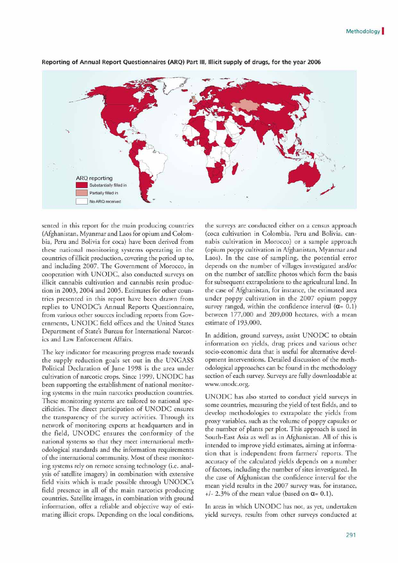

Reporting of Annual Report Questionnaires (ARQ) Part III, Illicit supply of drugs, for the year 2006

sented in this report for the main producing countries (Afghanistan, Myanmar and Laos for opium and Colombia, Peru and Bolivia for coca) have been derived from these national monitoring systems operating in the countries of illicit production, covering the period up to, and including 2007. The Government of Morocco, in cooperation with UNODC, also conducted surveys on illicit cannabis cultivation and cannabis resin production in 2003, 2004 and 2005. Estimates for other countries presented in this report have been drawn from replies to UNODC's Annual Reports Questionnaire, from various other sources including reports from Governments, UNODC field offices and the United States Department of State's Bureau for International Narcotics and Law Enforcement Affairs.

The key indicator for measuring progress made towards the supply reduction goals set out in the UNGASS Political Declaration of June 1998 is the area under cultivation of narcotic crops. Since 1999, UNODC has been supporting the establishment of national monitoring systems in the main narcotics production countries. These monitoring systems are tailored to national specificities. The direct participation of UNODC ensures the transparency of the survey activities. Through its network of monitoring experts at headquarters and in the field, UNODC ensures the conformity of the national systems so that they meet international methodological standards and the information requirements of the international community. Most of these monitoring systems rely on remote sensing technology (i.e. analysis of satellite imagery) in combination with extensive field visits which is made possible through UNODC's field presence in all of the main narcotics producing countries. Satellite images, in combination with ground information, offer a reliable and objective way of estimating illicit crops. Depending on the local conditions,

the surveys are conducted either on a census approach (coca cultivation in Colombia, Peru and Bolivia, cannabis cultivation in Morocco) or a sample approach (opium poppy cultivation in Afghanistan, Myanmar and Laos). In the case of sampling, the potential error depends on the number of villages investigated and/or on the number of satellite photos which form the basis for subsequent extrapolations to the agricultural land. In the case of Afghanistan, for instance, the estimated area under poppy cultivation in the 2007 opium poppy survey ranged, within the confidence interval  $(\alpha = 0.1)$ between 177,000 and 209,000 hectares, with a mean estimate of 193,000.

In addition, ground surveys, assist UNODC to obtain information on yields, drug prices and various other socio-economic data that is useful for alternative development interventions. Detailed discussion of the methodological approaches can be found in the methodology section of each survey. Surveys are fully downloadable at www.unodc.org.

UNODC has also started to conduct yield surveys in some countries, measuring the yield of test fields, and to develop methodologies to extrapolate the yields from proxy variables, such as the volume of poppy capsules or the number of plants per plot. This approach is used in South-East Asia as well as in Afghanistan. All of this is intended to improve yield estimates, aiming at information that is independent from farmers' reports. The accuracy of the calculated yields depends on a number of factors, including the number of sites investigated. In the case of Afghanistan the confidence interval for the mean yield results in the 2007 survey was, for instance,  $+/- 2.3\%$  of the mean value (based on  $\alpha = 0.1$ ).

In areas in which UNODC has not, as yet, undertaken yield surveys, results from other surveys conducted at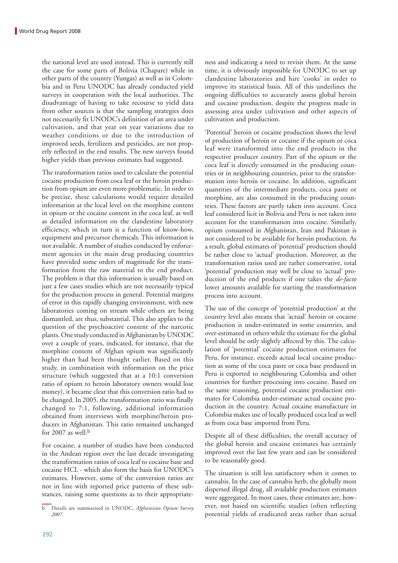the national level are used instead. This is currently still the case for some parts of Bolivia (Chapare) while in other parts of the country (Yungas) as well as in Colombia and in Peru UNODC has already conducted yield surveys in cooperation with the local authorities. The disadvantage of having to take recourse to yield data from other sources is that the sampling strategies does not necessarily fit UNODC's definition of an area under cultivation, and that year on year variations due to weather conditions or due to the introduction of improved seeds, fertilizers and pesticides, are not properly reflected in the end results. The new surveys found higher yields than previous estimates had suggested.

The transformation ratios used to calculate the potential cocaine production from coca leaf or the heroin production from opium are even more problematic. In order to be precise, these calculations would require detailed information at the local level on the morphine content in opium or the cocaine content in the coca leaf, as well as detailed information on the clandestine laboratory efficiency, which in turn is a function of know-how, equipment and precursor chemicals. This information is not available. A number of studies conducted by enforcement agencies in the main drug producing countries have provided some orders of magnitude for the transformation from the raw material to the end product. The problem is that this information is usually based on just a few cases studies which are not necessarily typical for the production process in general. Potential margins of error in this rapidly changing environment, with new laboratories coming on stream while others are being dismantled, are thus, substantial. This also applies to the question of the psychoactive content of the narcotic plants. One study conducted in Afghanistan by UNODC over a couple of years, indicated, for instance, that the morphine content of Afghan opium was significantly higher than had been thought earlier. Based on this study, in combination with information on the price structure (which suggested that at a 10:1 conversion ratio of opium to heroin laboratory owners would lose money), it became clear that this conversion ratio had to be changed. In 2005, the transformation ratio was finally changed to 7:1, following, additional information obtained from interviews with morphine/heroin producers in Afghanistan. This ratio remained unchanged for 2007 as well.<sup>b</sup>

For cocaine, a number of studies have been conducted in the Andean region over the last decade investigating the transformation ratios of coca leaf to cocaine base and cocaine HCL - which also form the basis for UNODC's estimates. However, some of the conversion ratios are not in line with reported price patterns of these substances, raising some questions as to their appropriateness and indicating a need to revisit them. At the same time, it is obviously impossible for UNODC to set up clandestine laboratories and hire 'cooks' in order to improve its statistical basis. All of this underlines the ongoing difficulties to accurately assess global heroin and cocaine production, despite the progress made in assessing area under cultivation and other aspects of cultivation and production.

'Potential' heroin or cocaine production shows the level of production of heroin or cocaine if the opium or coca leaf were transformed into the end products in the respective producer country. Part of the opium or the coca leaf is directly consumed in the producing countries or in neighbouring countries, prior to the transformation into heroin or cocaine. In addition, significant quantities of the intermediate products, coca paste or morphine, are also consumed in the producing countries. These factors are partly taken into account. Coca leaf considered licit in Bolivia and Peru is not taken into account for the transformation into cocaine. Similarly, opium consumed in Afghanistan, Iran and Pakistan is not considered to be available for heroin production. As a result, global estimates of 'potential' production should be rather close to 'actual' production. Moreover, as the transformation ratios used are rather conservative, total 'potential' production may well be close to 'actual' production of the end products if one takes the *de-facto*  lower amounts available for starting the transformation process into account.

The use of the concept of 'potential production' at the country level also means that 'actual' heroin or cocaine production is under-estimated in some countries, and over-estimated in others while the estimate for the global level should be only slightly affected by this. The calculation of 'potential' cocaine production estimates for Peru, for instance, exceeds actual local cocaine production as some of the coca paste or coca base produced in Peru is exported to neighbouring Colombia and other countries for further processing into cocaine. Based on the same reasoning, potential cocaine production estimates for Colombia under-estimate actual cocaine production in the country. Actual cocaine manufacture in Colombia makes use of locally produced coca leaf as well as from coca base imported from Peru.

Despite all of these difficulties, the overall accuracy of the global heroin and cocaine estimates has certainly improved over the last few years and can be considered to be reasonably good.

The situation is still less satisfactory when it comes to cannabis. In the case of cannabis herb, the globally most dispersed illegal drug, all available production estimates were aggregated. In most cases, these estimates are, however, not based on scientific studies (often reflecting potential yields of eradicated areas rather than actual

b Details are summarised in UNODC, *Afghanistan Opium Survey 2007*.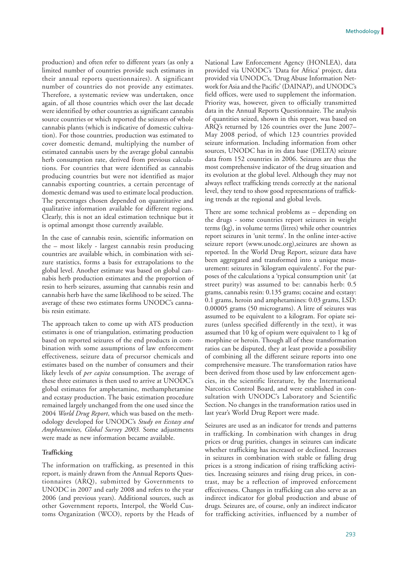production) and often refer to different years (as only a limited number of countries provide such estimates in their annual reports questionnaires). A significant number of countries do not provide any estimates. Therefore, a systematic review was undertaken, once again, of all those countries which over the last decade were identified by other countries as significant cannabis source countries or which reported the seizures of whole cannabis plants (which is indicative of domestic cultivation). For those countries, production was estimated to cover domestic demand, multiplying the number of estimated cannabis users by the average global cannabis herb consumption rate, derived from previous calculations. For countries that were identified as cannabis producing countries but were not identified as major cannabis exporting countries, a certain percentage of domestic demand was used to estimate local production. The percentages chosen depended on quantitative and qualitative information available for different regions. Clearly, this is not an ideal estimation technique but it is optimal amongst those currently available.

In the case of cannabis resin, scientific information on the – most likely - largest cannabis resin producing countries are available which, in combination with seizure statistics, forms a basis for extrapolations to the global level. Another estimate was based on global cannabis herb production estimates and the proportion of resin to herb seizures, assuming that cannabis resin and cannabis herb have the same likelihood to be seized. The average of these two estimates forms UNODC's cannabis resin estimate.

The approach taken to come up with ATS production estimates is one of triangulation, estimating production based on reported seizures of the end products in combination with some assumptions of law enforcement effectiveness, seizure data of precursor chemicals and estimates based on the number of consumers and their likely levels of *per capita* consumption. The average of these three estimates is then used to arrive at UNODC's global estimates for amphetamine, methamphetamine and ecstasy production. The basic estimation procedure remained largely unchanged from the one used since the 2004 *World Drug Report*, which was based on the methodology developed for UNODC's *Study on Ecstasy and Amphetamines, Global Survey 2003.* Some adjustments were made as new information became available.

#### **Trafficking**

The information on trafficking, as presented in this report, is mainly drawn from the Annual Reports Questionnaires (ARQ), submitted by Governments to UNODC in 2007 and early 2008 and refers to the year 2006 (and previous years). Additional sources, such as other Government reports, Interpol, the World Customs Organization (WCO), reports by the Heads of

National Law Enforcement Agency (HONLEA), data provided via UNODC's 'Data for Africa' project, data provided via UNODC's, 'Drug Abuse Information Network for Asia and the Pacific' (DAINAP), and UNODC's field offices, were used to supplement the information. Priority was, however, given to officially transmitted data in the Annual Reports Questionnaire. The analysis of quantities seized, shown in this report, was based on ARQ's returned by 126 countries over the June 2007– May 2008 period, of which 123 countries provided seizure information. Including information from other sources, UNODC has in its data base (DELTA) seizure data from 152 countries in 2006. Seizures are thus the most comprehensive indicator of the drug situation and its evolution at the global level. Although they may not always reflect trafficking trends correctly at the national level, they tend to show good representations of trafficking trends at the regional and global levels.

There are some technical problems as – depending on the drugs - some countries report seizures in weight terms (kg), in volume terms (litres) while other countries report seizures in 'unit terms'. In the online inter-active seizure report (www.unodc.org),seizures are shown as reported. In the World Drug Report, seizure data have been aggregated and transformed into a unique measurement: seizures in 'kilogram equivalents'. For the purposes of the calculations a 'typical consumption unit' (at street purity) was assumed to be: cannabis herb: 0.5 grams, cannabis resin: 0.135 grams; cocaine and ecstasy: 0.1 grams, heroin and amphetamines: 0.03 grams, LSD: 0.00005 grams (50 micrograms). A litre of seizures was assumed to be equivalent to a kilogram. For opiate seizures (unless specified differently in the text), it was assumed that 10 kg of opium were equivalent to 1 kg of morphine or heroin. Though all of these transformation ratios can be disputed, they at least provide a possibility of combining all the different seizure reports into one comprehensive measure. The transformation ratios have been derived from those used by law enforcement agencies, in the scientific literature, by the International Narcotics Control Board, and were established in consultation with UNODC's Laboratory and Scientific Section. No changes in the transformation ratios used in last year's World Drug Report were made.

Seizures are used as an indicator for trends and patterns in trafficking. In combination with changes in drug prices or drug purities, changes in seizures can indicate whether trafficking has increased or declined. Increases in seizures in combination with stable or falling drug prices is a strong indication of rising trafficking activities. Increasing seizures and rising drug prices, in contrast, may be a reflection of improved enforcement effectiveness. Changes in trafficking can also serve as an indirect indicator for global production and abuse of drugs. Seizures are, of course, only an indirect indicator for trafficking activities, influenced by a number of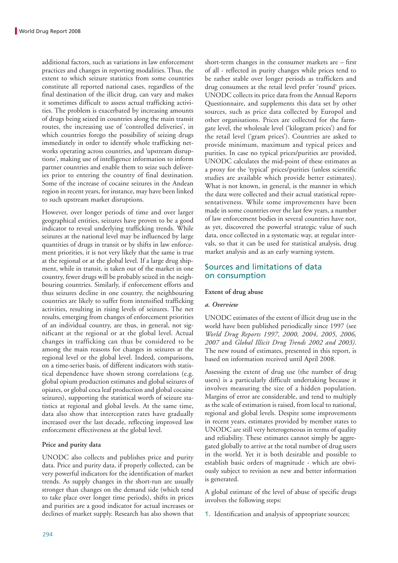additional factors, such as variations in law enforcement practices and changes in reporting modalities. Thus, the extent to which seizure statistics from some countries constitute all reported national cases, regardless of the final destination of the illicit drug, can vary and makes it sometimes difficult to assess actual trafficking activities. The problem is exacerbated by increasing amounts of drugs being seized in countries along the main transit routes, the increasing use of 'controlled deliveries', in which countries forego the possibility of seizing drugs immediately in order to identify whole trafficking networks operating across countries, and 'upstream disruptions', making use of intelligence information to inform partner countries and enable them to seize such deliveries prior to entering the country of final destination. Some of the increase of cocaine seizures in the Andean region in recent years, for instance, may have been linked to such upstream market disruptions.

However, over longer periods of time and over larger geographical entities, seizures have proven to be a good indicator to reveal underlying trafficking trends. While seizures at the national level may be influenced by large quantities of drugs in transit or by shifts in law enforcement priorities, it is not very likely that the same is true at the regional or at the global level. If a large drug shipment, while in transit, is taken out of the market in one country, fewer drugs will be probably seized in the neighbouring countries. Similarly, if enforcement efforts and thus seizures decline in one country, the neighbouring countries are likely to suffer from intensified trafficking activities, resulting in rising levels of seizures. The net results, emerging from changes of enforcement priorities of an individual country, are thus, in general, not significant at the regional or at the global level. Actual changes in trafficking can thus be considered to be among the main reasons for changes in seizures at the regional level or the global level. Indeed, comparisons, on a time-series basis, of different indicators with statistical dependence have shown strong correlations (e.g. global opium production estimates and global seizures of opiates, or global coca leaf production and global cocaine seizures), supporting the statistical worth of seizure statistics at regional and global levels. At the same time, data also show that interception rates have gradually increased over the last decade, reflecting improved law enforcement effectiveness at the global level.

## **Price and purity data**

UNODC also collects and publishes price and purity data. Price and purity data, if properly collected, can be very powerful indicators for the identification of market trends. As supply changes in the short-run are usually stronger than changes on the demand side (which tend to take place over longer time periods), shifts in prices and purities are a good indicator for actual increases or declines of market supply. Research has also shown that

short-term changes in the consumer markets are – first of all - reflected in purity changes while prices tend to be rather stable over longer periods as traffickers and drug consumers at the retail level prefer 'round' prices. UNODC collects its price data from the Annual Reports Questionnaire, and supplements this data set by other sources, such as price data collected by Europol and other organisations. Prices are collected for the farmgate level, the wholesale level ('kilogram prices') and for the retail level ('gram prices'). Countries are asked to provide minimum, maximum and typical prices and purities. In case no typical prices/purities are provided, UNODC calculates the mid-point of these estimates as a proxy for the 'typical' prices/purities (unless scientific studies are available which provide better estimates). What is not known, in general, is the manner in which the data were collected and their actual statistical representativeness. While some improvements have been made in some countries over the last few years, a number of law enforcement bodies in several countries have not, as yet, discovered the powerful strategic value of such data, once collected in a systematic way, at regular intervals, so that it can be used for statistical analysis, drug market analysis and as an early warning system.

# Sources and limitations of data on consumption

#### **Extent of drug abuse**

#### *a. Overview*

UNODC estimates of the extent of illicit drug use in the world have been published periodically since 1997 (see *World Drug Reports 1997, 2000, 2004, 2005, 2006, 2007* and *Global Illicit Drug Trends 2002 and 2003)*. The new round of estimates, presented in this report, is based on information received until April 2008.

Assessing the extent of drug use (the number of drug users) is a particularly difficult undertaking because it involves measuring the size of a hidden population. Margins of error are considerable, and tend to multiply as the scale of estimation is raised, from local to national, regional and global levels. Despite some improvements in recent years, estimates provided by member states to UNODC are still very heterogeneous in terms of quality and reliability. These estimates cannot simply be aggregated globally to arrive at the total number of drug users in the world. Yet it is both desirable and possible to establish basic orders of magnitude - which are obviously subject to revision as new and better information is generated.

A global estimate of the level of abuse of specific drugs involves the following steps:

1. Identification and analysis of appropriate sources;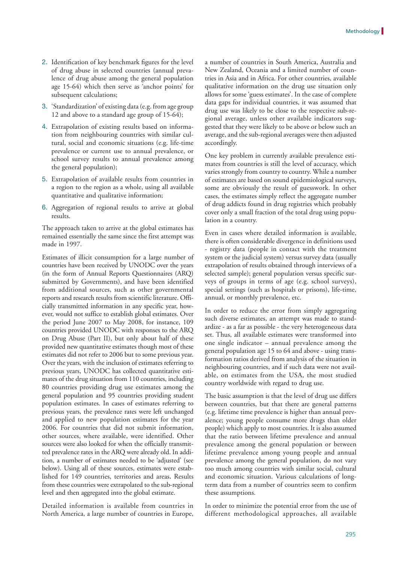- 2. Identification of key benchmark figures for the level of drug abuse in selected countries (annual prevalence of drug abuse among the general population age 15-64) which then serve as 'anchor points' for subsequent calculations;
- 3. 'Standardization' of existing data (e.g. from age group 12 and above to a standard age group of 15-64);
- 4. Extrapolation of existing results based on information from neighbouring countries with similar cultural, social and economic situations (e.g. life-time prevalence or current use to annual prevalence, or school survey results to annual prevalence among the general population);
- 5. Extrapolation of available results from countries in a region to the region as a whole, using all available quantitative and qualitative information;
- 6. Aggregation of regional results to arrive at global results.

The approach taken to arrive at the global estimates has remained essentially the same since the first attempt was made in 1997.

Estimates of illicit consumption for a large number of countries have been received by UNODC over the years (in the form of Annual Reports Questionnaires (ARQ) submitted by Governments), and have been identified from additional sources, such as other governmental reports and research results from scientific literature. Officially transmitted information in any specific year, however, would not suffice to establish global estimates. Over the period June 2007 to May 2008, for instance, 109 countries provided UNODC with responses to the ARQ on Drug Abuse (Part II), but only about half of these provided new quantitative estimates though most of these estimates did not refer to 2006 but to some previous year. Over the years, with the inclusion of estimates referring to previous years, UNODC has collected quantitative estimates of the drug situation from 110 countries, including 80 countries providing drug use estimates among the general population and 95 countries providing student population estimates. In cases of estimates referring to previous years, the prevalence rates were left unchanged and applied to new population estimates for the year 2006. For countries that did not submit information, other sources, where available, were identified. Other sources were also looked for when the officially transmitted prevalence rates in the ARQ were already old. In addition, a number of estimates needed to be 'adjusted' (see below). Using all of these sources, estimates were established for 149 countries, territories and areas**.** Results from these countries were extrapolated to the sub-regional level and then aggregated into the global estimate.

Detailed information is available from countries in North America, a large number of countries in Europe,

a number of countries in South America, Australia and New Zealand, Oceania and a limited number of countries in Asia and in Africa. For other countries, available qualitative information on the drug use situation only allows for some 'guess estimates'. In the case of complete data gaps for individual countries, it was assumed that drug use was likely to be close to the respective sub-regional average, unless other available indicators suggested that they were likely to be above or below such an average, and the sub-regional averages were then adjusted accordingly.

One key problem in currently available prevalence estimates from countries is still the level of accuracy, which varies strongly from country to country. While a number of estimates are based on sound epidemiological surveys, some are obviously the result of guesswork. In other cases, the estimates simply reflect the aggregate number of drug addicts found in drug registries which probably cover only a small fraction of the total drug using population in a country.

Even in cases where detailed information is available, there is often considerable divergence in definitions used - registry data (people in contact with the treatment system or the judicial system) versus survey data (usually extrapolation of results obtained through interviews of a selected sample); general population versus specific surveys of groups in terms of age (e.g. school surveys), special settings (such as hospitals or prisons), life-time, annual, or monthly prevalence, etc.

In order to reduce the error from simply aggregating such diverse estimates, an attempt was made to standardize - as a far as possible - the very heterogeneous data set. Thus, all available estimates were transformed into one single indicator – annual prevalence among the general population age 15 to 64 and above - using transformation ratios derived from analysis of the situation in neighbouring countries, and if such data were not available, on estimates from the USA, the most studied country worldwide with regard to drug use.

The basic assumption is that the level of drug use differs between countries, but that there are general patterns (e.g. lifetime time prevalence is higher than annual prevalence; young people consume more drugs than older people) which apply to most countries. It is also assumed that the ratio between lifetime prevalence and annual prevalence among the general population or between lifetime prevalence among young people and annual prevalence among the general population, do not vary too much among countries with similar social, cultural and economic situation. Various calculations of longterm data from a number of countries seem to confirm these assumptions.

In order to minimize the potential error from the use of different methodological approaches, all available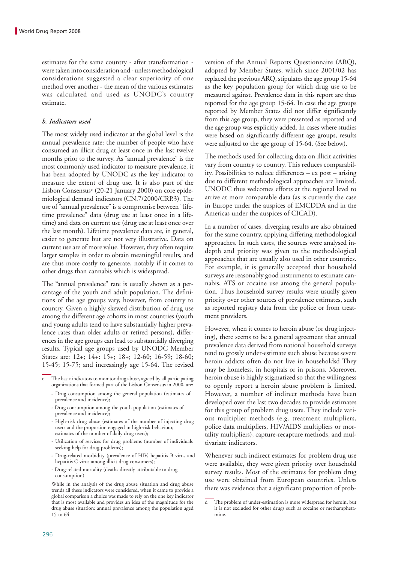estimates for the same country - after transformation were taken into consideration and - unless methodological considerations suggested a clear superiority of one method over another - the mean of the various estimates was calculated and used as UNODC's country estimate.

#### *b. Indicators used*

The most widely used indicator at the global level is the annual prevalence rate: the number of people who have consumed an illicit drug at least once in the last twelve months prior to the survey. As "annual prevalence" is the most commonly used indicator to measure prevalence, it has been adopted by UNODC as the key indicator to measure the extent of drug use. It is also part of the Lisbon Consensus $c$  (20-21 January 2000) on core epidemiological demand indicators (CN.7/2000/CRP.3). The use of "annual prevalence" is a compromise between "lifetime prevalence" data (drug use at least once in a lifetime) and data on current use (drug use at least once over the last month). Lifetime prevalence data are, in general, easier to generate but are not very illustrative. Data on current use are of more value. However, they often require larger samples in order to obtain meaningful results, and are thus more costly to generate, notably if it comes to other drugs than cannabis which is widespread.

The "annual prevalence" rate is usually shown as a percentage of the youth and adult population. The definitions of the age groups vary, however, from country to country. Given a highly skewed distribution of drug use among the different age cohorts in most countries (youth and young adults tend to have substantially higher prevalence rates than older adults or retired persons), differences in the age groups can lead to substantially diverging results. Typical age groups used by UNODC Member States are: 12+; 14+: 15+; 18+; 12-60; 16-59; 18-60; 15-45; 15-75; and increasingly age 15-64. The revised

- The basic indicators to monitor drug abuse, agreed by all participating organizations that formed part of the Lisbon Consensus in 2000, are:
	- Drug consumption among the general population (estimates of prevalence and incidence);
	- Drug consumption among the youth population (estimates of prevalence and incidence);
	- High-risk drug abuse (estimates of the number of injecting drug users and the proportion engaged in high-risk behaviour, estimates of the number of daily drug users);
	- Utilization of services for drug problems (number of individuals seeking help for drug problems);
	- Drug-related morbidity (prevalence of HIV, hepatitis B virus and hepatitis C virus among illicit drug consumers);
	- Drug-related mortality (deaths directly attributable to drug consumption).

 While in the analysis of the drug abuse situation and drug abuse trends all these indicators were considered, when it came to provide a global comparison a choice was made to rely on the one key indicator that is most available and provides an idea of the magnitude for the drug abuse situation: annual prevalence among the population aged 15 to 64.

version of the Annual Reports Questionnaire (ARQ), adopted by Member States, which since 2001/02 has replaced the previous ARQ, stipulates the age group 15-64 as the key population group for which drug use to be measured against. Prevalence data in this report are thus reported for the age group 15-64. In case the age groups reported by Member States did not differ significantly from this age group, they were presented as reported and the age group was explicitly added. In cases where studies were based on significantly different age groups, results were adjusted to the age group of 15-64. (See below).

The methods used for collecting data on illicit activities vary from country to country. This reduces comparability. Possibilities to reduce differences – ex post – arising due to different methodological approaches are limited. UNODC thus welcomes efforts at the regional level to arrive at more comparable data (as is currently the case in Europe under the auspices of EMCDDA and in the Americas under the auspices of CICAD).

In a number of cases, diverging results are also obtained for the same country, applying differing methodological approaches. In such cases, the sources were analysed indepth and priority was given to the methodological approaches that are usually also used in other countries. For example, it is generally accepted that household surveys are reasonably good instruments to estimate cannabis, ATS or cocaine use among the general population. Thus household survey results were usually given priority over other sources of prevalence estimates, such as reported registry data from the police or from treatment providers.

However, when it comes to heroin abuse (or drug injecting), there seems to be a general agreement that annual prevalence data derived from national household surveys tend to grossly under-estimate such abuse because severe heroin addicts often do not live in householdsd They may be homeless, in hospitals or in prisons. Moreover, heroin abuse is highly stigmatized so that the willingness to openly report a heroin abuse problem is limited. However, a number of indirect methods have been developed over the last two decades to provide estimates for this group of problem drug users. They include various multiplier methods (e.g. treatment multipliers, police data multipliers, HIV/AIDS multipliers or mortality multipliers), capture-recapture methods, and multivariate indicators.

Whenever such indirect estimates for problem drug use were available, they were given priority over household survey results. Most of the estimates for problem drug use were obtained from European countries. Unless there was evidence that a significant proportion of prob-

The problem of under-estimation is more widespread for heroin, but it is not excluded for other drugs such as cocaine or methamphetamine.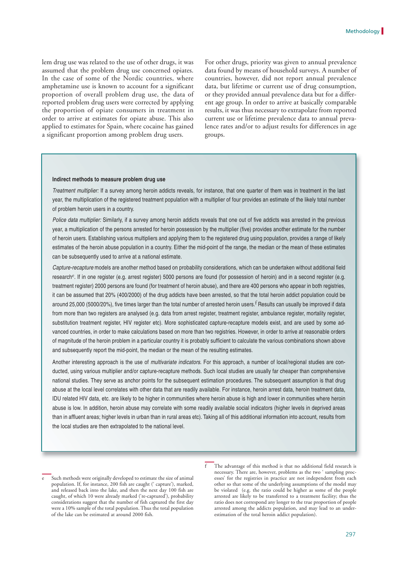lem drug use was related to the use of other drugs, it was assumed that the problem drug use concerned opiates. In the case of some of the Nordic countries, where amphetamine use is known to account for a significant proportion of overall problem drug use, the data of reported problem drug users were corrected by applying the proportion of opiate consumers in treatment in order to arrive at estimates for opiate abuse. This also applied to estimates for Spain, where cocaine has gained a significant proportion among problem drug users.

For other drugs, priority was given to annual prevalence data found by means of household surveys. A number of countries, however, did not report annual prevalence data, but lifetime or current use of drug consumption, or they provided annual prevalence data but for a different age group. In order to arrive at basically comparable results, it was thus necessary to extrapolate from reported current use or lifetime prevalence data to annual prevalence rates and/or to adjust results for differences in age groups.

#### **Indirect methods to measure problem drug use**

*Treatment multiplier:* If a survey among heroin addicts reveals, for instance, that one quarter of them was in treatment in the last year, the multiplication of the registered treatment population with a multiplier of four provides an estimate of the likely total number of problem heroin users in a country.

Police data multiplier: Similarly, if a survey among heroin addicts reveals that one out of five addicts was arrested in the previous year, a multiplication of the persons arrested for heroin possession by the multiplier (five) provides another estimate for the number of heroin users. Establishing various multipliers and applying them to the registered drug using population, provides a range of likely estimates of the heroin abuse population in a country. Either the mid-point of the range, the median or the mean of these estimates can be subsequently used to arrive at a national estimate.

*Capture-recapture* models are another method based on probability considerations, which can be undertaken without additional field researche. If in one register (e.g. arrest register) 5000 persons are found (for possession of heroin) and in a second register (e.g. treatment register) 2000 persons are found (for treatment of heroin abuse), and there are 400 persons who appear in both registries, it can be assumed that 20% (400/2000) of the drug addicts have been arrested, so that the total heroin addict population could be around 25,000 (5000/20%), five times larger than the total number of arrested heroin users.<sup>f</sup> Results can usually be improved if data from more than two registers are analysed (e.g. data from arrest register, treatment register, ambulance register, mortality register, substitution treatment register, HIV register etc). More sophisticated capture-recapture models exist, and are used by some advanced countries, in order to make calculations based on more than two registries. However, in order to arrive at reasonable orders of magnitude of the heroin problem in a particular country it is probably sufficient to calculate the various combinations shown above and subsequently report the mid-point, the median or the mean of the resulting estimates.

Another interesting approach is the use of *multivariate indicators*. For this approach, a number of local/regional studies are conducted, using various multiplier and/or capture-recapture methods. Such local studies are usually far cheaper than comprehensive national studies. They serve as anchor points for the subsequent estimation procedures. The subsequent assumption is that drug abuse at the local level correlates with other data that are readily available. For instance, heroin arrest data, heroin treatment data, IDU related HIV data, etc. are likely to be higher in communities where heroin abuse is high and lower in communities where heroin abuse is low. In addition, heroin abuse may correlate with some readily available social indicators (higher levels in deprived areas than in affluent areas; higher levels in urban than in rural areas etc). Taking all of this additional information into account, results from the local studies are then extrapolated to the national level.

The advantage of this method is that no additional field research is necessary. There are, however, problems as the two ' sampling processes' for the registries in practice are not independent from each other so that some of the underlying assumptions of the model may be violated (e.g. the ratio could be higher as some of the people arrested are likely to be transferred to a treatment facility; thus the ratio does not correspond any longer to the true proportion of people arrested among the addicts population, and may lead to an underestimation of the total heroin addict population).

Such methods were originally developed to estimate the size of animal population. If, for instance, 200 fish are caught (' capture'), marked, and released back into the lake, and then the next day 100 fish are caught, of which 10 were already marked ('re-captured'), probability considerations suggest that the number of fish captured the first day were a 10% sample of the total population. Thus the total population of the lake can be estimated at around 2000 fish.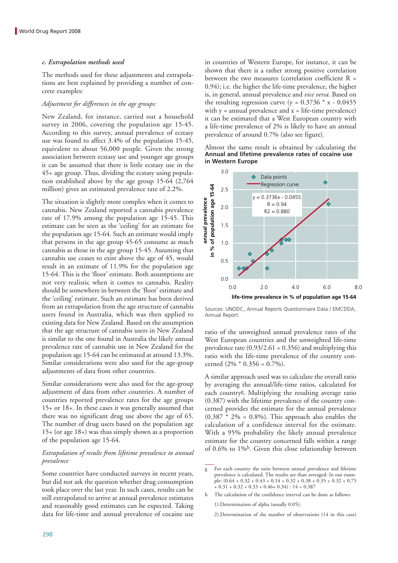#### *c. Extrapolation methods used*

The methods used for these adjustments and extrapolations are best explained by providing a number of concrete examples:

#### *Adjustment for differences in the age groups:*

New Zealand, for instance, carried out a household survey in 2006, covering the population age 15-45. According to this survey, annual prevalence of ecstasy use was found to affect 3.4% of the population 15-45, equivalent to about 56,000 people. Given the strong association between ecstasy use and younger age groups it can be assumed that there is little ecstasy use in the 45+ age group. Thus, dividing the ecstasy using population established above by the age group 15-64 (2,764 million) gives an estimated prevalence rate of 2.2%.

The situation is slightly more complex when it comes to cannabis. New Zealand reported a cannabis prevalence rate of 17.9% among the population age 15-45. This estimate can be seen as the 'ceiling' for an estimate for the population age 15-64. Such an estimate would imply that persons in the age group 45-65 consume as much cannabis as those in the age group 15-45. Assuming that cannabis use ceases to exist above the age of 45, would result in an estimate of 11.9% for the population age 15-64. This is the 'floor' estimate. Both assumptions are not very realistic when it comes to cannabis. Reality should be somewhere in between the 'floor' estimate and the 'ceiling' estimate. Such an estimate has been derived from an extrapolation from the age structure of cannabis users found in Australia, which was then applied to existing data for New Zealand. Based on the assumption that the age structure of cannabis users in New Zealand is similar to the one found in Australia the likely annual prevalence rate of cannabis use in New Zealand for the population age 15-64 can be estimated at around 13.3%. Similar considerations were also used for the age-group adjustments of data from other countries.

Similar considerations were also used for the age-group adjustment of data from other countries. A number of countries reported prevalence rates for the age groups 15+ or 18+. In these cases it was generally assumed that there was no significant drug use above the age of 65. The number of drug users based on the population age 15+ (or age 18+) was thus simply shown as a proportion of the population age 15-64.

#### *Extrapolation of results from lifetime prevalence to annual prevalence*

Some countries have conducted surveys in recent years, but did not ask the question whether drug consumption took place over the last year. In such cases, results can be still extrapolated to arrive at annual prevalence estimates and reasonably good estimates can be expected. Taking data for life-time and annual prevalence of cocaine use

in countries of Western Europe, for instance, it can be shown that there is a rather strong positive correlation between the two measures (correlation coefficient  $R =$ 0.94); i.e. the higher the life-time prevalence, the higher is, in general, annual prevalence and *vice versa*. Based on the resulting regression curve (y =  $0.3736 * x - 0.0455$ ) with  $y =$  annual prevalence and  $x =$  life-time prevalence) it can be estimated that a West European country with a life-time prevalence of 2% is likely to have an annual prevalence of around 0.7% (also see figure).

#### Almost the same result is obtained by calculating the **Annual and lifetime prevalence rates of cocaine use in Western Europe**



Sources: UNODC, Annual Reports Questionnaire Data / EMCDDA, Annual Report.

ratio of the unweighted annual prevalence rates of the West European countries and the unweighted life-time prevalence rate  $(0.93/2.61 = 0.356)$  and multiplying this ratio with the life-time prevalence of the country concerned  $(2\% * 0.356 = 0.7\%)$ .

A similar approach used was to calculate the overall ratio by averaging the annual/life-time ratios, calculated for each country<sup>g</sup>. Multiplying the resulting average ratio (0.387) with the lifetime prevalence of the country concerned provides the estimate for the annual prevalence  $(0.387 * 2\% = 0.8\%).$  This approach also enables the calculation of a confidence interval for the estimate. With a 95% probability the likely annual prevalence estimate for the country concerned falls within a range of 0.6% to 1%h. Given this close relationship between

g For each country the ratio between annual prevalence and lifetime prevalence is calculated. The results are than averaged: In our example: (0.64 + 0.32 + 0.43 + 0.14 + 0.32 + 0.38 + 0.35 + 0.32 + 0.75  $+ 0.31 + 0.32 + 0.33 + 0.46 + 0.34$  : 14 = 0.387

h The calculation of the confidence interval can be done as follows:

 <sup>1).</sup>Determination of alpha (usually 0.05);

 <sup>2).</sup>Determination of the number of observations (14 in this case)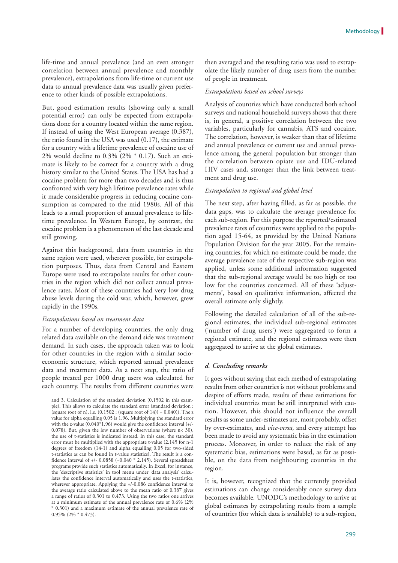life-time and annual prevalence (and an even stronger correlation between annual prevalence and monthly prevalence), extrapolations from life-time or current use data to annual prevalence data was usually given preference to other kinds of possible extrapolations.

But, good estimation results (showing only a small potential error) can only be expected from extrapolations done for a country located within the same region. If instead of using the West European average (0.387), the ratio found in the USA was used (0.17), the estimate for a country with a lifetime prevalence of cocaine use of 2% would decline to 0.3% (2% \* 0.17). Such an estimate is likely to be correct for a country with a drug history similar to the United States. The USA has had a cocaine problem for more than two decades and is thus confronted with very high lifetime prevalence rates while it made considerable progress in reducing cocaine consumption as compared to the mid 1980s. All of this leads to a small proportion of annual prevalence to lifetime prevalence. In Western Europe, by contrast, the cocaine problem is a phenomenon of the last decade and still growing.

Against this background, data from countries in the same region were used, wherever possible, for extrapolation purposes. Thus, data from Central and Eastern Europe were used to extrapolate results for other countries in the region which did not collect annual prevalence rates. Most of these countries had very low drug abuse levels during the cold war, which, however, grew rapidly in the 1990s.

#### *Extrapolations based on treatment data*

For a number of developing countries, the only drug related data available on the demand side was treatment demand. In such cases, the approach taken was to look for other countries in the region with a similar socioeconomic structure, which reported annual prevalence data and treatment data. As a next step, the ratio of people treated per 1000 drug users was calculated for each country. The results from different countries were

then averaged and the resulting ratio was used to extrapolate the likely number of drug users from the number of people in treatment.

#### *Extrapolations based on school surveys*

Analysis of countries which have conducted both school surveys and national household surveys shows that there is, in general, a positive correlation between the two variables, particularly for cannabis, ATS and cocaine. The correlation, however, is weaker than that of lifetime and annual prevalence or current use and annual prevalence among the general population but stronger than the correlation between opiate use and IDU-related HIV cases and, stronger than the link between treatment and drug use.

#### *Extrapolation to regional and global level*

The next step, after having filled, as far as possible, the data gaps, was to calculate the average prevalence for each sub-region. For this purpose the reported/estimated prevalence rates of countries were applied to the population aged 15-64, as provided by the United Nations Population Division for the year 2005. For the remaining countries, for which no estimate could be made, the average prevalence rate of the respective sub-region was applied, unless some additional information suggested that the sub-regional average would be too high or too low for the countries concerned. All of these 'adjustments', based on qualitative information, affected the overall estimate only slightly.

Following the detailed calculation of all of the sub-regional estimates, the individual sub-regional estimates ('number of drug users') were aggregated to form a regional estimate, and the regional estimates were then aggregated to arrive at the global estimates.

#### *d. Concluding remarks*

It goes without saying that each method of extrapolating results from other countries is not without problems and despite of efforts made, results of these estimations for individual countries must be still interpreted with caution. However, this should not influence the overall results as some under-estimates are, most probably, offset by over-estimates, and *vice-versa,* and every attempt has been made to avoid any systematic bias in the estimation process. Moreover, in order to reduce the risk of any systematic bias, estimations were based, as far as possible, on the data from neighbouring countries in the region.

It is, however, recognized that the currently provided estimations can change considerably once survey data becomes available. UNODC's methodology to arrive at global estimates by extrapolating results from a sample of countries (for which data is available) to a sub-region,

and 3. Calculation of the standard deviation (0.1502 in this example). This allows to calculate the standard error (standard deviation : (square root of n), i.e.  $(0.1502 : (square root of 14)) = 0.040)$ ). The z value for alpha equalling 0.05 is 1.96. Multiplying the standard error with the z-value  $(0.040*1.96)$  would give the confidence interval  $(+/-)$ 0.078). But, given the low number of observations (where  $n < 30$ ), the use of t-statistics is indicated instead. In this case, the standard error must be multiplied with the appropriate t-value (2.145 for n-1 degrees of freedom (14-1) and alpha equalling 0.05 for two-sided t-statistics as can be found in t-value statistics). The result is a confidence interval of  $+/- 0.0858$  (=0.040  $* 2.145$ ). Several spreadsheet programs provide such statistics automatically. In Excel, for instance, the 'descriptive statistics' in tool menu under 'data analysis' calculates the confidence interval automatically and uses the t-statistics, wherever appropriate. Applying the  $+/-0.086$  confidence interval to the average ratio calculated above to the mean ratio of 0.387 gives a range of ratios of 0.301 to 0.473. Using the two ratios one arrives at a minimum estimate of the annual prevalence rate of 0.6% (2% \* 0.301) and a maximum estimate of the annual prevalence rate of 0.95% (2% \* 0.473).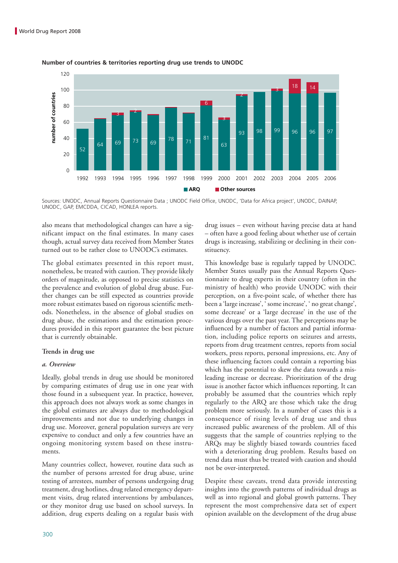

#### **Number of countries & territories reporting drug use trends to UNODC**

Sources: UNODC, Annual Reports Questionnaire Data ; UNODC Field Office, UNODC, 'Data for Africa project', UNODC, DAINAP, UNODC, GAP, EMCDDA, CICAD, HONLEA reports.

also means that methodological changes can have a significant impact on the final estimates. In many cases though, actual survey data received from Member States turned out to be rather close to UNODC's estimates.

The global estimates presented in this report must, nonetheless, be treated with caution. They provide likely orders of magnitude, as opposed to precise statistics on the prevalence and evolution of global drug abuse. Further changes can be still expected as countries provide more robust estimates based on rigorous scientific methods. Nonetheless, in the absence of global studies on drug abuse, the estimations and the estimation procedures provided in this report guarantee the best picture that is currently obtainable.

#### **Trends in drug use**

#### *a. Overview*

Ideally, global trends in drug use should be monitored by comparing estimates of drug use in one year with those found in a subsequent year. In practice, however, this approach does not always work as some changes in the global estimates are always due to methodological improvements and not due to underlying changes in drug use. Moreover, general population surveys are very expensive to conduct and only a few countries have an ongoing monitoring system based on these instruments.

Many countries collect, however, routine data such as the number of persons arrested for drug abuse, urine testing of arrestees, number of persons undergoing drug treatment, drug hotlines, drug related emergency department visits, drug related interventions by ambulances, or they monitor drug use based on school surveys. In addition, drug experts dealing on a regular basis with

300

drug issues – even without having precise data at hand – often have a good feeling about whether use of certain drugs is increasing, stabilizing or declining in their constituency.

This knowledge base is regularly tapped by UNODC. Member States usually pass the Annual Reports Questionnaire to drug experts in their country (often in the ministry of health) who provide UNODC with their perception, on a five-point scale, of whether there has been a 'large increase', ' some increase', ' no great change', some decrease' or a 'large decrease' in the use of the various drugs over the past year. The perceptions may be influenced by a number of factors and partial information, including police reports on seizures and arrests, reports from drug treatment centres, reports from social workers, press reports, personal impressions, etc. Any of these influencing factors could contain a reporting bias which has the potential to skew the data towards a misleading increase or decrease. Prioritization of the drug issue is another factor which influences reporting. It can probably be assumed that the countries which reply regularly to the ARQ are those which take the drug problem more seriously. In a number of cases this is a consequence of rising levels of drug use and thus increased public awareness of the problem. All of this suggests that the sample of countries replying to the ARQs may be slightly biased towards countries faced with a deteriorating drug problem. Results based on trend data must thus be treated with caution and should not be over-interpreted.

Despite these caveats, trend data provide interesting insights into the growth patterns of individual drugs as well as into regional and global growth patterns. They represent the most comprehensive data set of expert opinion available on the development of the drug abuse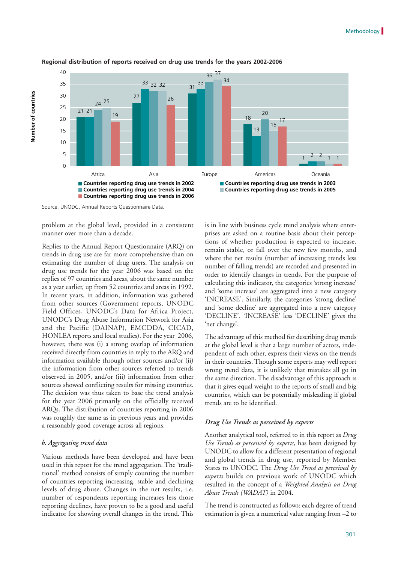

#### **Regional distribution of reports received on drug use trends for the years 2002-2006**

Source: UNODC, Annual Reports Questionnaire Data.

**Number of countries**

Number of countries

problem at the global level, provided in a consistent manner over more than a decade.

Replies to the Annual Report Questionnaire (ARQ) on trends in drug use are far more comprehensive than on estimating the number of drug users. The analysis on drug use trends for the year 2006 was based on the replies of 97 countries and areas, about the same number as a year earlier, up from 52 countries and areas in 1992. In recent years, in addition, information was gathered from other sources (Government reports, UNODC Field Offices, UNODC's Data for Africa Project, UNODC's Drug Abuse Information Network for Asia and the Pacific (DAINAP), EMCDDA, CICAD, HONLEA reports and local studies). For the year 2006, however, there was (i) a strong overlap of information received directly from countries in reply to the ARQ and information available through other sources and/or (ii) the information from other sources referred to trends observed in 2005, and/or (iii) information from other sources showed conflicting results for missing countries. The decision was thus taken to base the trend analysis for the year 2006 primarily on the officially received ARQs. The distribution of countries reporting in 2006 was roughly the same as in previous years and provides a reasonably good coverage across all regions.

#### b. Aggregating trend data

Various methods have been developed and have been used in this report for the trend aggregation. The 'traditional' method consists of simply counting the number of countries reporting increasing, stable and declining levels of drug abuse. Changes in the net results, i.e. number of respondents reporting increases less those reporting declines, have proven to be a good and useful indicator for showing overall changes in the trend. This is in line with business cycle trend analysis where enterprises are asked on a routine basis about their perceptions of whether production is expected to increase, remain stable, or fall over the new few months, and where the net results (number of increasing trends less number of falling trends) are recorded and presented in order to identify changes in trends. For the purpose of calculating this indicator, the categories 'strong increase' and 'some increase' are aggregated into a new category 'INCREASE'. Similarly, the categories 'strong decline' and 'some decline' are aggregated into a new category 'DECLINE'. 'INCREASE' less 'DECLINE' gives the 'net change'.

The advantage of this method for describing drug trends at the global level is that a large number of actors, independent of each other, express their views on the trends in their countries. Though some experts may well report wrong trend data, it is unlikely that mistakes all go in the same direction. The disadvantage of this approach is that it gives equal weight to the reports of small and big countries, which can be potentially misleading if global trends are to be identified.

#### *Drug Use Trends as perceived by experts*

Another analytical tool, referred to in this report as *Drug Use Trends as perceived by experts,* has been designed by UNODC to allow for a different presentation of regional and global trends in drug use, reported by Member States to UNODC. The *Drug Use Trend as perceived by experts* builds on previous work of UNODC which resulted in the concept of a *Weighted Analysis on Drug Abuse Trends (WADAT)* in 2004.

The trend is constructed as follows: each degree of trend estimation is given a numerical value ranging from –2 to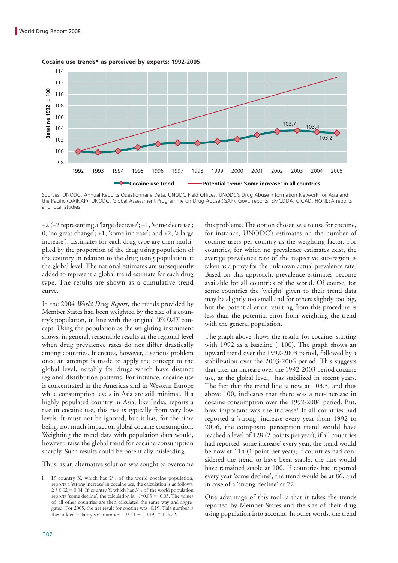

**Cocaine use trends\* as perceived by experts: 1992-2005**

Sources: UNODC, Annual Reports Questionnaire Data, UNODC Field Offices, UNODC's Drug Abuse Information Network for Asia and the Pacific (DAINAP), UNODC, Global Assessment Programme on Drug Abuse (GAP), Govt. reports, EMCDDA, CICAD, HONLEA reports and local studies

+2 (–2 representing a 'large decrease'; –1, 'some decrease'; 0, 'no great change'; +1, 'some increase'; and +2, 'a large increase'). Estimates for each drug type are then multiplied by the proportion of the drug using population of the country in relation to the drug using population at the global level. The national estimates are subsequently added to represent a global trend estimate for each drug type. The results are shown as a cumulative trend curve.i

In the 2004 *World Drug Report*, the trends provided by Member States had been weighted by the size of a country's population, in line with the original *WADAT* concept. Using the population as the weighting instrument shows, in general, reasonable results at the regional level when drug prevalence rates do not differ drastically among countries. It creates, however, a serious problem once an attempt is made to apply the concept to the global level, notably for drugs which have distinct regional distribution patterns. For instance, cocaine use is concentrated in the Americas and in Western Europe while consumption levels in Asia are still minimal. If a highly populated country in Asia, like India, reports a rise in cocaine use, this rise is typically from very low levels. It must not be ignored, but it has, for the time being, not much impact on global cocaine consumption. Weighting the trend data with population data would, however, raise the global trend for cocaine consumption sharply. Such results could be potentially misleading.

Thus, as an alternative solution was sought to overcome

this problems. The option chosen was to use for cocaine, for instance, UNODC's estimates on the number of cocaine users per country as the weighting factor. For countries, for which no prevalence estimates exist, the average prevalence rate of the respective sub-region is taken as a proxy for the unknown actual prevalence rate. Based on this approach, prevalence estimates become available for all countries of the world. Of course, for some countries the 'weight' given to their trend data may be slightly too small and for others slightly too big, but the potential error resulting from this procedure is less than the potential error from weighting the trend with the general population.

The graph above shows the results for cocaine, starting with 1992 as a baseline (=100). The graph shows an upward trend over the 1992-2003 period, followed by a stabilization over the 2003-2006 period. This suggests that after an increase over the 1992-2003 period cocaine use, at the global level, has stabilized in recent years. The fact that the trend line is now at 103.3, and thus above 100, indicates that there was a net-increase in cocaine consumption over the 1992-2006 period. But, how important was the increase? If all countries had reported a 'strong' increase every year from 1992 to 2006, the composite perception trend would have reached a level of 128 (2 points per year); if all countries had reported 'some increase' every year, the trend would be now at 114 (1 point per year); if countries had considered the trend to have been stable, the line would have remained stable at 100. If countries had reported every year 'some decline', the trend would be at 86, and in case of a 'strong decline' at 72

One advantage of this tool is that it takes the trends reported by Member States and the size of their drug using population into account. In other words, the trend

If country X, which has 2% of the world cocaine population, reports a 'strong increase' in cocaine use, the calculation is as follows:  $2 * 0.02 = 0.04$ . If country Y, which has 3% of the world population reports 'some decline', the calculation is:  $-1*0.03 = -0.03$ . The values of all other countries are then calculated the same way and aggregated. For 2005, the net result for cocaine was -0.19. This number is then added to last year's number:  $103.41 + (-0.19) = 103.22$ .